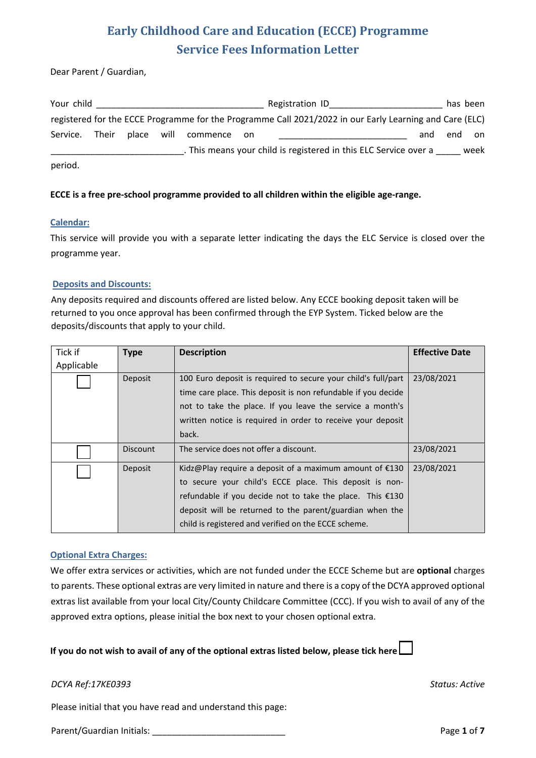Dear Parent / Guardian,

| Your child |       |            |          |       | Registration ID                                                                                         |     | has been |      |
|------------|-------|------------|----------|-------|---------------------------------------------------------------------------------------------------------|-----|----------|------|
|            |       |            |          |       | registered for the ECCE Programme for the Programme Call 2021/2022 in our Early Learning and Care (ELC) |     |          |      |
| Service.   | Their | place will | commence | on on |                                                                                                         | and | end      | on   |
|            |       |            |          |       | . This means your child is registered in this ELC Service over a                                        |     |          | week |
| period.    |       |            |          |       |                                                                                                         |     |          |      |

### **ECCE is a free pre-school programme provided to all children within the eligible age-range.**

### **Calendar:**

This service will provide you with a separate letter indicating the days the ELC Service is closed over the programme year.

### **Deposits and Discounts:**

Any deposits required and discounts offered are listed below. Any ECCE booking deposit taken will be returned to you once approval has been confirmed through the EYP System. Ticked below are the deposits/discounts that apply to your child.

| Tick if    | <b>Type</b>     | <b>Description</b>                                                                                                             | <b>Effective Date</b> |
|------------|-----------------|--------------------------------------------------------------------------------------------------------------------------------|-----------------------|
| Applicable |                 |                                                                                                                                |                       |
|            | Deposit         | 100 Euro deposit is required to secure your child's full/part<br>time care place. This deposit is non refundable if you decide | 23/08/2021            |
|            |                 | not to take the place. If you leave the service a month's                                                                      |                       |
|            |                 | written notice is required in order to receive your deposit                                                                    |                       |
|            |                 | back.                                                                                                                          |                       |
|            | <b>Discount</b> | The service does not offer a discount.                                                                                         | 23/08/2021            |
|            | Deposit         | Kidz@Play require a deposit of a maximum amount of $£130$                                                                      | 23/08/2021            |
|            |                 | to secure your child's ECCE place. This deposit is non-                                                                        |                       |
|            |                 | refundable if you decide not to take the place. This €130                                                                      |                       |
|            |                 | deposit will be returned to the parent/guardian when the                                                                       |                       |
|            |                 | child is registered and verified on the ECCE scheme.                                                                           |                       |

### **Optional Extra Charges:**

We offer extra services or activities, which are not funded under the ECCE Scheme but are **optional** charges to parents. These optional extras are very limited in nature and there is a copy of the DCYA approved optional extras list available from your local City/County Childcare Committee (CCC). If you wish to avail of any of the approved extra options, please initial the box next to your chosen optional extra.

### **If you do not wish to avail of any of the optional extras listed below, please tick here**

### *DCYA Ref:17KE0393 Status: Active*

Please initial that you have read and understand this page:

Parent/Guardian Initials: \_\_\_\_\_\_\_\_\_\_\_\_\_\_\_\_\_\_\_\_\_\_\_\_\_\_\_ Page **1** of **7**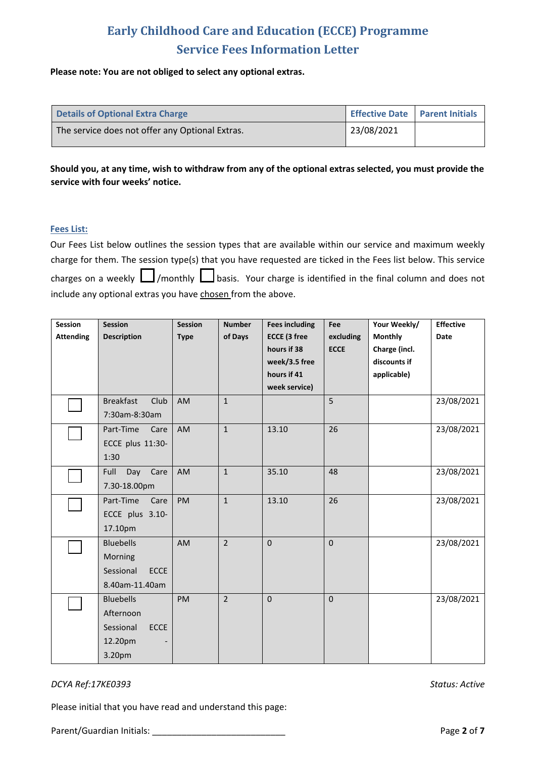### **Please note: You are not obliged to select any optional extras.**

| <b>Details of Optional Extra Charge</b>         |            | Effective Date   Parent Initials |
|-------------------------------------------------|------------|----------------------------------|
| The service does not offer any Optional Extras. | 23/08/2021 |                                  |

**Should you, at any time, wish to withdraw from any of the optional extras selected, you must provide the service with four weeks' notice.**

### **Fees List:**

Our Fees List below outlines the session types that are available within our service and maximum weekly charge for them. The session type(s) that you have requested are ticked in the Fees list below. This service charges on a weekly  $\Box$ /monthly  $\Box$  basis. Your charge is identified in the final column and does not include any optional extras you have chosen from the above.

| Session          | <b>Session</b>           | <b>Session</b> | <b>Number</b>  | <b>Fees including</b> | Fee         | Your Weekly/   | <b>Effective</b> |
|------------------|--------------------------|----------------|----------------|-----------------------|-------------|----------------|------------------|
| <b>Attending</b> | <b>Description</b>       | <b>Type</b>    | of Days        | <b>ECCE (3 free</b>   | excluding   | <b>Monthly</b> | <b>Date</b>      |
|                  |                          |                |                | hours if 38           | <b>ECCE</b> | Charge (incl.  |                  |
|                  |                          |                |                | week/3.5 free         |             | discounts if   |                  |
|                  |                          |                |                | hours if 41           |             | applicable)    |                  |
|                  |                          |                |                | week service)         |             |                |                  |
|                  | <b>Breakfast</b><br>Club | AM             | $\mathbf{1}$   |                       | 5           |                | 23/08/2021       |
|                  | 7:30am-8:30am            |                |                |                       |             |                |                  |
|                  | Part-Time<br>Care        | AM             | $\mathbf{1}$   | 13.10                 | 26          |                | 23/08/2021       |
|                  | ECCE plus 11:30-         |                |                |                       |             |                |                  |
|                  | 1:30                     |                |                |                       |             |                |                  |
|                  | Full<br>Day<br>Care      | AM             | $\mathbf{1}$   | 35.10                 | 48          |                | 23/08/2021       |
|                  | 7.30-18.00pm             |                |                |                       |             |                |                  |
|                  | Part-Time<br>Care        | PM             | $\mathbf{1}$   | 13.10                 | 26          |                | 23/08/2021       |
|                  | ECCE plus 3.10-          |                |                |                       |             |                |                  |
|                  | 17.10pm                  |                |                |                       |             |                |                  |
|                  | <b>Bluebells</b>         | AM             | $\overline{2}$ | $\mathbf{0}$          | $\mathbf 0$ |                | 23/08/2021       |
|                  | Morning                  |                |                |                       |             |                |                  |
|                  | <b>ECCE</b><br>Sessional |                |                |                       |             |                |                  |
|                  | 8.40am-11.40am           |                |                |                       |             |                |                  |
|                  | <b>Bluebells</b>         | PM             | $\overline{2}$ | $\mathbf 0$           | $\mathbf 0$ |                | 23/08/2021       |
|                  | Afternoon                |                |                |                       |             |                |                  |
|                  | ECCE<br>Sessional        |                |                |                       |             |                |                  |
|                  | 12.20pm                  |                |                |                       |             |                |                  |
|                  | 3.20pm                   |                |                |                       |             |                |                  |

### *DCYA Ref:17KE0393 Status: Active*

Please initial that you have read and understand this page:

Parent/Guardian Initials: \_\_\_\_\_\_\_\_\_\_\_\_\_\_\_\_\_\_\_\_\_\_\_\_\_\_\_ Page **2** of **7**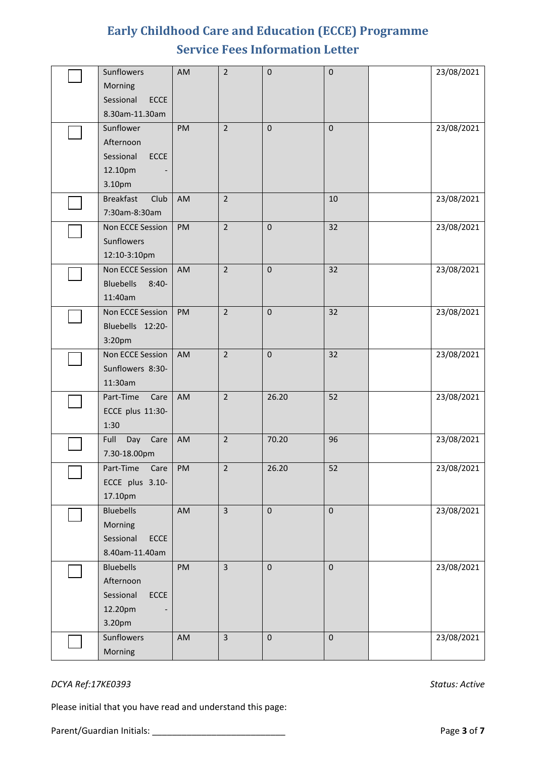| Sunflowers                   | AM | $\overline{2}$ | $\pmb{0}$   | $\pmb{0}$ | 23/08/2021 |
|------------------------------|----|----------------|-------------|-----------|------------|
| Morning                      |    |                |             |           |            |
| Sessional<br><b>ECCE</b>     |    |                |             |           |            |
| 8.30am-11.30am<br>Sunflower  |    | $\overline{2}$ |             | $\pmb{0}$ |            |
| Afternoon                    | PM |                | $\mathbf 0$ |           | 23/08/2021 |
| Sessional<br>ECCE            |    |                |             |           |            |
| 12.10pm                      |    |                |             |           |            |
| 3.10pm                       |    |                |             |           |            |
| <b>Breakfast</b><br>Club     | AM | $\overline{2}$ |             | 10        | 23/08/2021 |
| 7:30am-8:30am                |    |                |             |           |            |
| Non ECCE Session             | PM | $\overline{2}$ | $\mathbf 0$ | 32        | 23/08/2021 |
| Sunflowers                   |    |                |             |           |            |
| 12:10-3:10pm                 |    |                |             |           |            |
| Non ECCE Session             | AM | $\overline{2}$ | $\mathbf 0$ | 32        | 23/08/2021 |
| <b>Bluebells</b><br>$8:40-$  |    |                |             |           |            |
| 11:40am<br>Non ECCE Session  |    | $\overline{2}$ |             |           |            |
| Bluebells 12:20-             | PM |                | $\mathbf 0$ | 32        | 23/08/2021 |
| 3:20pm                       |    |                |             |           |            |
| Non ECCE Session             | AM | $\overline{2}$ | $\pmb{0}$   | 32        | 23/08/2021 |
| Sunflowers 8:30-             |    |                |             |           |            |
| 11:30am                      |    |                |             |           |            |
| Part-Time<br>Care            | AM | $\overline{2}$ | 26.20       | 52        | 23/08/2021 |
| ECCE plus 11:30-             |    |                |             |           |            |
| 1:30                         |    |                |             |           |            |
| Full<br>Day Care             | AM | $\overline{2}$ | 70.20       | 96        | 23/08/2021 |
| 7.30-18.00pm                 |    |                |             |           |            |
| Part-Time Care   PM          |    | $\overline{2}$ | 26.20       | 52        | 23/08/2021 |
| ECCE plus 3.10-              |    |                |             |           |            |
| 17.10pm                      |    |                |             |           |            |
| <b>Bluebells</b>             | AM | $\overline{3}$ | $\pmb{0}$   | $\pmb{0}$ | 23/08/2021 |
| Morning                      |    |                |             |           |            |
| Sessional<br><b>ECCE</b>     |    |                |             |           |            |
| 8.40am-11.40am               |    |                |             |           |            |
| <b>Bluebells</b>             | PM | $\overline{3}$ | $\pmb{0}$   | $\pmb{0}$ | 23/08/2021 |
| Afternoon                    |    |                |             |           |            |
| Sessional<br>ECCE<br>12.20pm |    |                |             |           |            |
| 3.20pm                       |    |                |             |           |            |
|                              |    |                |             |           |            |
| Sunflowers                   | AM | $\overline{3}$ | $\pmb{0}$   | $\pmb{0}$ | 23/08/2021 |

### *DCYA Ref:17KE0393 Status: Active*

Please initial that you have read and understand this page:

Parent/Guardian Initials: \_\_\_\_\_\_\_\_\_\_\_\_\_\_\_\_\_\_\_\_\_\_\_\_\_\_\_ Page **3** of **7**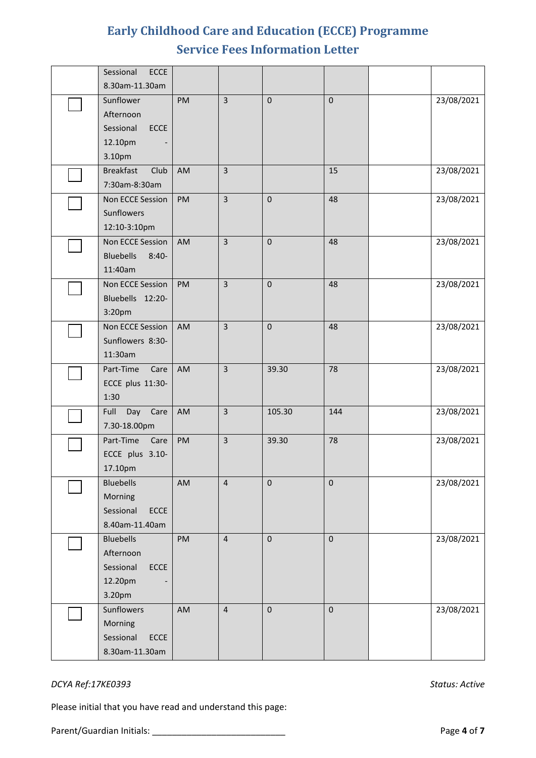| Sessional<br><b>ECCE</b>                                                  |           |                         |             |             |            |
|---------------------------------------------------------------------------|-----------|-------------------------|-------------|-------------|------------|
| 8.30am-11.30am                                                            |           |                         |             |             |            |
| Sunflower<br>Afternoon<br>Sessional<br><b>ECCE</b><br>12.10pm<br>3.10pm   | <b>PM</b> | $\overline{3}$          | $\mathbf 0$ | $\pmb{0}$   | 23/08/2021 |
| <b>Breakfast</b><br>Club<br>7:30am-8:30am                                 | AM        | $\overline{3}$          |             | 15          | 23/08/2021 |
| Non ECCE Session<br>Sunflowers<br>12:10-3:10pm                            | PM        | $\overline{3}$          | $\mathbf 0$ | 48          | 23/08/2021 |
| Non ECCE Session<br><b>Bluebells</b><br>$8:40-$<br>11:40am                | AM        | $\overline{3}$          | $\mathbf 0$ | 48          | 23/08/2021 |
| Non ECCE Session<br>Bluebells 12:20-<br>3:20pm                            | PM        | $\overline{3}$          | $\mathbf 0$ | 48          | 23/08/2021 |
| Non ECCE Session<br>Sunflowers 8:30-<br>11:30am                           | AM        | $\overline{3}$          | $\mathbf 0$ | 48          | 23/08/2021 |
| Part-Time<br>Care<br>ECCE plus 11:30-<br>1:30                             | AM        | $\overline{3}$          | 39.30       | 78          | 23/08/2021 |
| Full<br>Day<br>Care<br>7.30-18.00pm                                       | AM        | $\overline{3}$          | 105.30      | 144         | 23/08/2021 |
| Part-Time<br>Care<br>ECCE plus 3.10-<br>17.10pm                           | PM        | $\overline{\mathbf{3}}$ | 39.30       | 78          | 23/08/2021 |
| <b>Bluebells</b><br>Morning<br>Sessional<br><b>ECCE</b><br>8.40am-11.40am | AM        | $\overline{\mathbf{4}}$ | $\pmb{0}$   | $\pmb{0}$   | 23/08/2021 |
| <b>Bluebells</b><br>Afternoon<br>Sessional<br>ECCE<br>12.20pm<br>3.20pm   | PM        | $\overline{\mathbf{4}}$ | $\pmb{0}$   | $\mathbf 0$ | 23/08/2021 |
| Sunflowers<br>Morning<br>Sessional<br>ECCE<br>8.30am-11.30am              | AM        | $\overline{\mathbf{4}}$ | $\pmb{0}$   | $\pmb{0}$   | 23/08/2021 |

### *DCYA Ref:17KE0393 Status: Active*

Please initial that you have read and understand this page:

Parent/Guardian Initials: \_\_\_\_\_\_\_\_\_\_\_\_\_\_\_\_\_\_\_\_\_\_\_\_\_\_\_ Page **4** of **7**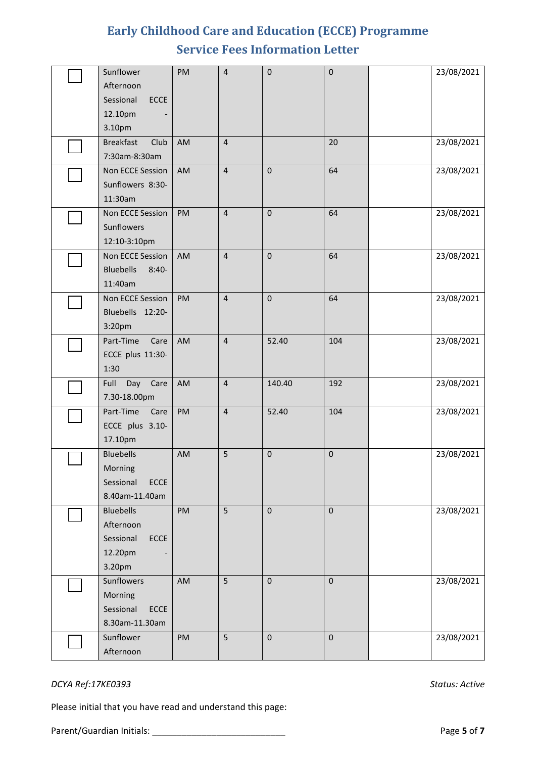| Sunflower<br>Afternoon<br>Sessional<br><b>ECCE</b><br>12.10pm<br>3.10pm   | PM | $\overline{\mathbf{4}}$ | $\pmb{0}$   | $\pmb{0}$   | 23/08/2021 |
|---------------------------------------------------------------------------|----|-------------------------|-------------|-------------|------------|
| <b>Breakfast</b><br>Club<br>7:30am-8:30am                                 | AM | $\sqrt{4}$              |             | 20          | 23/08/2021 |
| Non ECCE Session<br>Sunflowers 8:30-<br>11:30am                           | AM | $\overline{\mathbf{4}}$ | $\mathbf 0$ | 64          | 23/08/2021 |
| Non ECCE Session<br>Sunflowers<br>12:10-3:10pm                            | PM | $\overline{4}$          | $\mathbf 0$ | 64          | 23/08/2021 |
| Non ECCE Session<br><b>Bluebells</b><br>$8:40-$<br>11:40am                | AM | $\sqrt{4}$              | $\mathbf 0$ | 64          | 23/08/2021 |
| Non ECCE Session<br>Bluebells 12:20-<br>3:20pm                            | PM | $\sqrt{4}$              | $\mathbf 0$ | 64          | 23/08/2021 |
| Part-Time<br>Care<br>ECCE plus 11:30-<br>1:30                             | AM | $\overline{\mathbf{4}}$ | 52.40       | 104         | 23/08/2021 |
| Full<br>Day<br>Care<br>7.30-18.00pm                                       | AM | $\overline{4}$          | 140.40      | 192         | 23/08/2021 |
| Part-Time<br>Care<br>ECCE plus 3.10-<br>17.10pm                           | PM | $\sqrt{4}$              | 52.40       | 104         | 23/08/2021 |
| <b>Bluebells</b><br>Morning<br>Sessional<br><b>ECCE</b><br>8.40am-11.40am | AM | 5                       | $\pmb{0}$   | $\mathbf 0$ | 23/08/2021 |
| <b>Bluebells</b><br>Afternoon<br>Sessional<br>ECCE<br>12.20pm<br>3.20pm   | PM | 5                       | $\mathbf 0$ | $\pmb{0}$   | 23/08/2021 |
| Sunflowers<br>Morning<br>Sessional<br><b>ECCE</b><br>8.30am-11.30am       | AM | 5                       | $\pmb{0}$   | $\pmb{0}$   | 23/08/2021 |
| Sunflower<br>Afternoon                                                    | PM | 5                       | $\pmb{0}$   | $\pmb{0}$   | 23/08/2021 |

### *DCYA Ref:17KE0393 Status: Active*

Please initial that you have read and understand this page: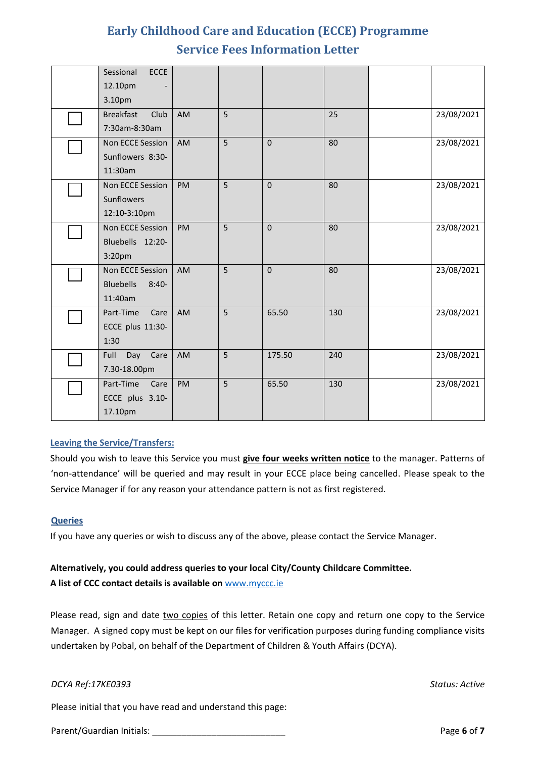| <b>ECCE</b><br>Sessional    |           |   |             |     |            |
|-----------------------------|-----------|---|-------------|-----|------------|
| 12.10pm                     |           |   |             |     |            |
| 3.10pm                      |           |   |             |     |            |
| <b>Breakfast</b><br>Club    | <b>AM</b> | 5 |             | 25  | 23/08/2021 |
| 7:30am-8:30am               |           |   |             |     |            |
| Non ECCE Session            | AM        | 5 | $\Omega$    | 80  | 23/08/2021 |
| Sunflowers 8:30-            |           |   |             |     |            |
| 11:30am                     |           |   |             |     |            |
| Non ECCE Session            | PM        | 5 | $\Omega$    | 80  | 23/08/2021 |
| Sunflowers                  |           |   |             |     |            |
| 12:10-3:10pm                |           |   |             |     |            |
| Non ECCE Session            | PM        | 5 | $\Omega$    | 80  | 23/08/2021 |
| Bluebells 12:20-            |           |   |             |     |            |
| 3:20pm                      |           |   |             |     |            |
| Non ECCE Session            | AM        | 5 | $\mathbf 0$ | 80  | 23/08/2021 |
| <b>Bluebells</b><br>$8:40-$ |           |   |             |     |            |
| 11:40am                     |           |   |             |     |            |
| Part-Time<br>Care           | AM        | 5 | 65.50       | 130 | 23/08/2021 |
| ECCE plus 11:30-            |           |   |             |     |            |
| 1:30                        |           |   |             |     |            |
| Full<br>Day<br>Care         | AM        | 5 | 175.50      | 240 | 23/08/2021 |
| 7.30-18.00pm                |           |   |             |     |            |
| Part-Time<br>Care           | PM        | 5 | 65.50       | 130 | 23/08/2021 |
| ECCE plus 3.10-             |           |   |             |     |            |
| 17.10pm                     |           |   |             |     |            |

### **Leaving the Service/Transfers:**

Should you wish to leave this Service you must **give four weeks written notice** to the manager. Patterns of 'non-attendance' will be queried and may result in your ECCE place being cancelled. Please speak to the Service Manager if for any reason your attendance pattern is not as first registered.

### **Queries**

If you have any queries or wish to discuss any of the above, please contact the Service Manager.

### **Alternatively, you could address queries to your local City/County Childcare Committee. A list of CCC contact details is available on** [www.myccc.ie](http://www.myccc.ie/)

Please read, sign and date two copies of this letter. Retain one copy and return one copy to the Service Manager. A signed copy must be kept on our files for verification purposes during funding compliance visits undertaken by Pobal, on behalf of the Department of Children & Youth Affairs (DCYA).

### *DCYA Ref:17KE0393 Status: Active*

Please initial that you have read and understand this page:

Parent/Guardian Initials: \_\_\_\_\_\_\_\_\_\_\_\_\_\_\_\_\_\_\_\_\_\_\_\_\_\_\_ Page **6** of **7**